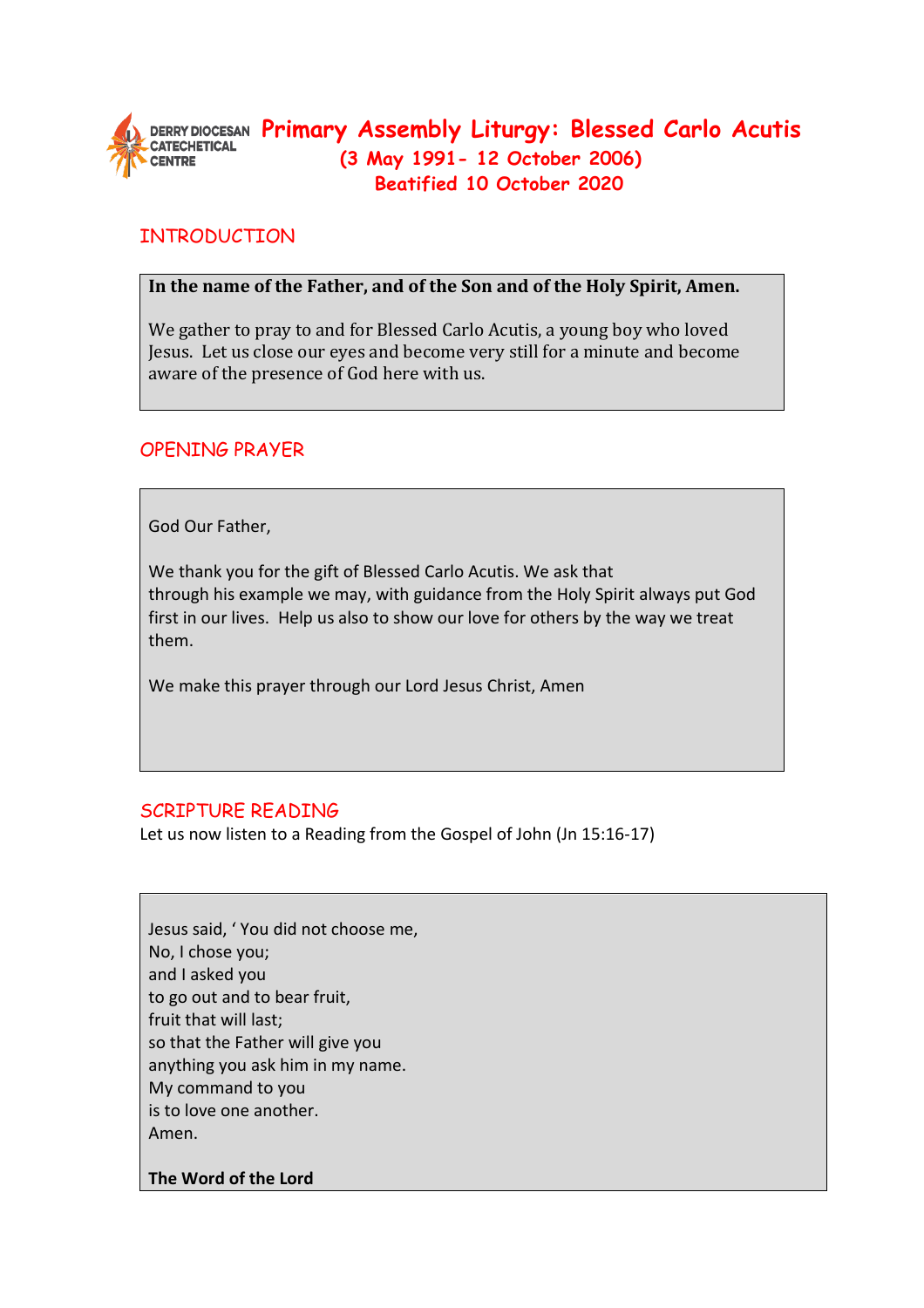

# **PRICK ASSEMBLY Assembly Liturgy: Blessed Carlo Acutis (3 May 1991- 12 October 2006) Beatified 10 October 2020**

# **INTRODUCTION**

### **In the name of the Father, and of the Son and of the Holy Spirit, Amen.**

We gather to pray to and for Blessed Carlo Acutis, a young boy who loved Jesus. Let us close our eyes and become very still for a minute and become aware of the presence of God here with us.

### OPENING PRAYER

God Our Father,

We thank you for the gift of Blessed Carlo Acutis. We ask that through his example we may, with guidance from the Holy Spirit always put God first in our lives. Help us also to show our love for others by the way we treat them.

We make this prayer through our Lord Jesus Christ, Amen

## SCRIPTURE READING

Let us now listen to a Reading from the Gospel of John (Jn 15:16-17)

Jesus said, ' You did not choose me, No, I chose you; and I asked you to go out and to bear fruit, fruit that will last; so that the Father will give you anything you ask him in my name. My command to you is to love one another. Amen.

**The Word of the Lord**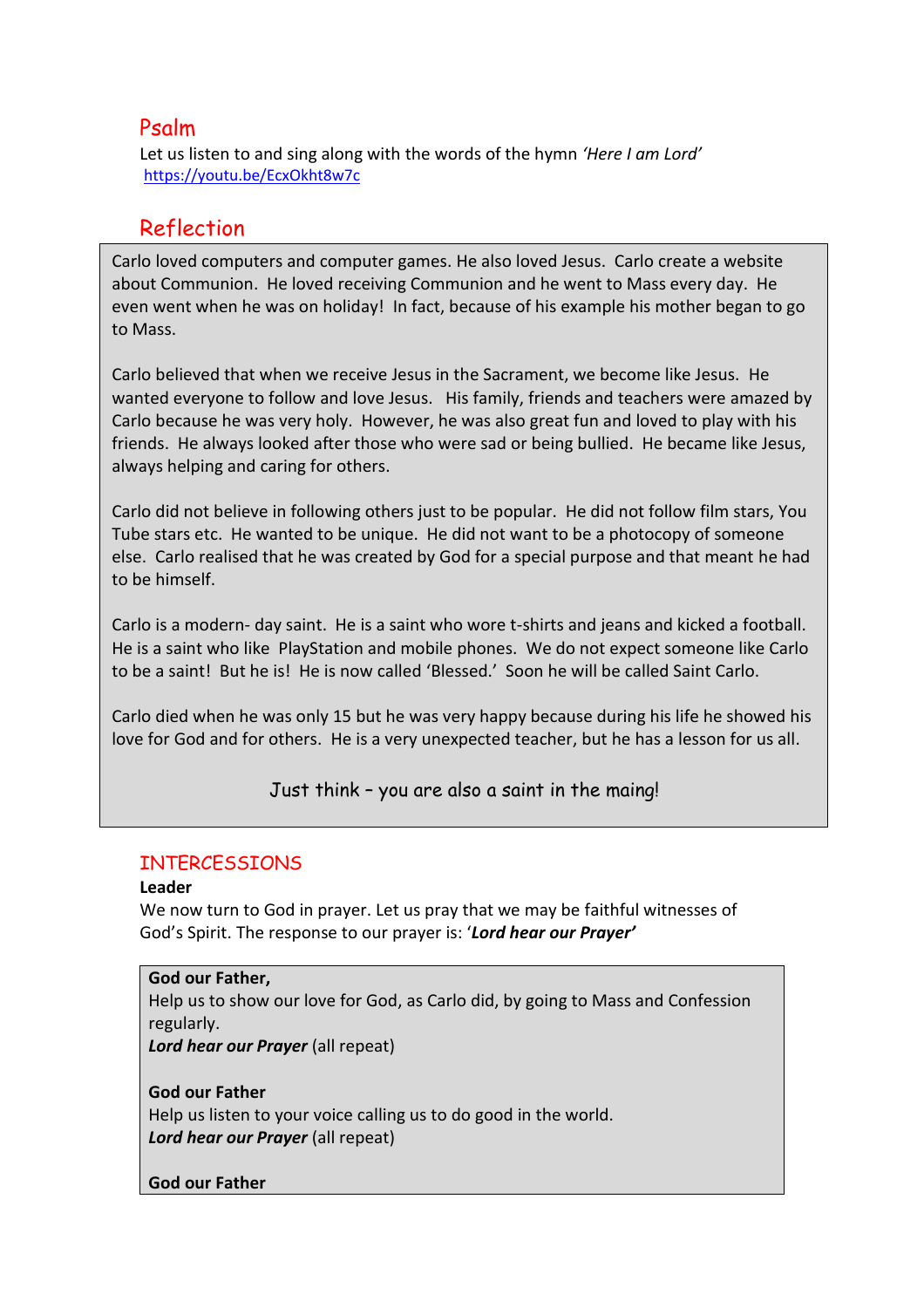# Psalm

Let us listen to and sing along with the words of the hymn *'Here I am Lord'*  <https://youtu.be/EcxOkht8w7c>

# Reflection

Carlo loved computers and computer games. He also loved Jesus. Carlo create a website about Communion. He loved receiving Communion and he went to Mass every day. He even went when he was on holiday! In fact, because of his example his mother began to go to Mass.

Carlo believed that when we receive Jesus in the Sacrament, we become like Jesus. He wanted everyone to follow and love Jesus. His family, friends and teachers were amazed by Carlo because he was very holy. However, he was also great fun and loved to play with his friends. He always looked after those who were sad or being bullied. He became like Jesus, always helping and caring for others.

Carlo did not believe in following others just to be popular. He did not follow film stars, You Tube stars etc. He wanted to be unique. He did not want to be a photocopy of someone else. Carlo realised that he was created by God for a special purpose and that meant he had to be himself.

Carlo is a modern- day saint. He is a saint who wore t-shirts and jeans and kicked a football. He is a saint who like PlayStation and mobile phones. We do not expect someone like Carlo to be a saint! But he is! He is now called 'Blessed.' Soon he will be called Saint Carlo.

Carlo died when he was only 15 but he was very happy because during his life he showed his love for God and for others. He is a very unexpected teacher, but he has a lesson for us all.

Just think – you are also a saint in the maing!

### INTERCESSIONS

#### **Leader**

We now turn to God in prayer. Let us pray that we may be faithful witnesses of God's Spirit. The response to our prayer is: '*Lord hear our Prayer'*

**God our Father,** Help us to show our love for God, as Carlo did, by going to Mass and Confession regularly. *Lord hear our Prayer* (all repeat)

**God our Father**  Help us listen to your voice calling us to do good in the world. *Lord hear our Prayer* (all repeat)

#### **God our Father**